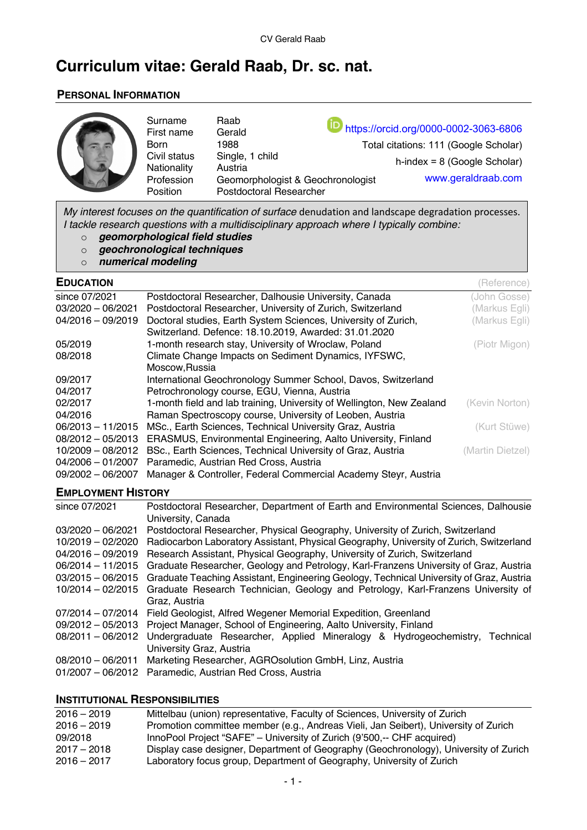# **Curriculum vitae: Gerald Raab, Dr. sc. nat.**

# **PERSONAL INFORMATION**

| Surname<br>First name<br><b>Born</b><br>Civil status<br>Nationality<br>Profession<br>Position | Raab<br>Gerald<br>1988<br>Single, 1 child<br>Austria<br>Geomorphologist & Geochronologist<br>Postdoctoral Researcher | https://orcid.org/0000-0002-3063-6806<br>Total citations: 111 (Google Scholar)<br>$h$ -index = 8 (Google Scholar)<br>www.geraldraab.com |
|-----------------------------------------------------------------------------------------------|----------------------------------------------------------------------------------------------------------------------|-----------------------------------------------------------------------------------------------------------------------------------------|
|-----------------------------------------------------------------------------------------------|----------------------------------------------------------------------------------------------------------------------|-----------------------------------------------------------------------------------------------------------------------------------------|

*My interest focuses on the quantification of surface* denudation and landscape degradation processes. *I tackle research questions with a multidisciplinary approach where I typically combine:*

- o *geomorphological field studies*
- o *geochronological techniques*
- o *numerical modeling*

| <b>EDUCATION</b>    |                                                                       | (Reference)      |
|---------------------|-----------------------------------------------------------------------|------------------|
| since 07/2021       | Postdoctoral Researcher, Dalhousie University, Canada                 | (John Gosse)     |
| $03/2020 - 06/2021$ | Postdoctoral Researcher, University of Zurich, Switzerland            | (Markus Egli)    |
| $04/2016 - 09/2019$ | Doctoral studies, Earth System Sciences, University of Zurich,        | (Markus Egli)    |
|                     | Switzerland. Defence: 18.10.2019, Awarded: 31.01.2020                 |                  |
| 05/2019             | 1-month research stay, University of Wroclaw, Poland                  | (Piotr Migon)    |
| 08/2018             | Climate Change Impacts on Sediment Dynamics, IYFSWC,                  |                  |
|                     | Moscow, Russia                                                        |                  |
| 09/2017             | International Geochronology Summer School, Davos, Switzerland         |                  |
| 04/2017             | Petrochronology course, EGU, Vienna, Austria                          |                  |
| 02/2017             | 1-month field and lab training, University of Wellington, New Zealand | (Kevin Norton)   |
| 04/2016             | Raman Spectroscopy course, University of Leoben, Austria              |                  |
| $06/2013 - 11/2015$ | MSc., Earth Sciences, Technical University Graz, Austria              | (Kurt Stüwe)     |
| $08/2012 - 05/2013$ | ERASMUS, Environmental Engineering, Aalto University, Finland         |                  |
| 10/2009 - 08/2012   | BSc., Earth Sciences, Technical University of Graz, Austria           | (Martin Dietzel) |
| $04/2006 - 01/2007$ | Paramedic, Austrian Red Cross, Austria                                |                  |
| 09/2002 - 06/2007   | Manager & Controller, Federal Commercial Academy Steyr, Austria       |                  |

# **EMPLOYMENT HISTORY**

| since 07/2021       | Postdoctoral Researcher, Department of Earth and Environmental Sciences, Dalhousie      |
|---------------------|-----------------------------------------------------------------------------------------|
|                     | University, Canada                                                                      |
| $03/2020 - 06/2021$ | Postdoctoral Researcher, Physical Geography, University of Zurich, Switzerland          |
| $10/2019 - 02/2020$ | Radiocarbon Laboratory Assistant, Physical Geography, University of Zurich, Switzerland |
| $04/2016 - 09/2019$ | Research Assistant, Physical Geography, University of Zurich, Switzerland               |
| 06/2014 - 11/2015   | Graduate Researcher, Geology and Petrology, Karl-Franzens University of Graz, Austria   |
| $03/2015 - 06/2015$ | Graduate Teaching Assistant, Engineering Geology, Technical University of Graz, Austria |
| $10/2014 - 02/2015$ | Graduate Research Technician, Geology and Petrology, Karl-Franzens University of        |
|                     | Graz, Austria                                                                           |
| 07/2014 - 07/2014   | Field Geologist, Alfred Wegener Memorial Expedition, Greenland                          |
| $09/2012 - 05/2013$ | Project Manager, School of Engineering, Aalto University, Finland                       |
| 08/2011 - 06/2012   | Undergraduate Researcher, Applied Mineralogy & Hydrogeochemistry, Technical             |
|                     | University Graz, Austria                                                                |
| $08/2010 - 06/2011$ | Marketing Researcher, AGRO solution GmbH, Linz, Austria                                 |
|                     | 01/2007 - 06/2012 Paramedic, Austrian Red Cross, Austria                                |

#### **INSTITUTIONAL RESPONSIBILITIES**

| Display case designer, Department of Geography (Geochronology), University of Zurich |
|--------------------------------------------------------------------------------------|
|                                                                                      |
|                                                                                      |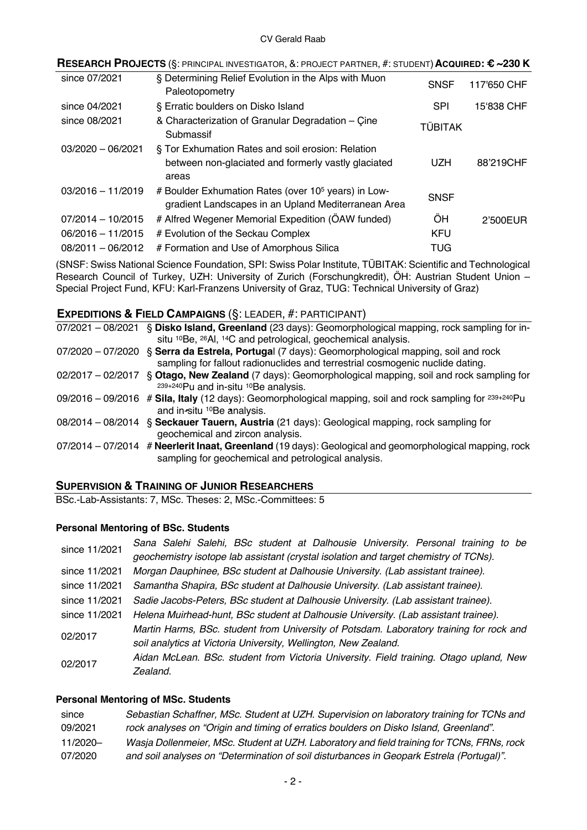| $\sf{RESEARCH}$ $\sf{PROJECTS}$ (§: principal investigator, &: project partner, #: student) $\sf{Acquireb:}$ $\pmb{\epsilon}$ $\sim$ 230 $\sf{K}$ |                                                                                                                        |                |             |
|---------------------------------------------------------------------------------------------------------------------------------------------------|------------------------------------------------------------------------------------------------------------------------|----------------|-------------|
| since 07/2021                                                                                                                                     | § Determining Relief Evolution in the Alps with Muon<br>Paleotopometry                                                 | <b>SNSF</b>    | 117'650 CHF |
| since 04/2021                                                                                                                                     | § Erratic boulders on Disko Island                                                                                     | <b>SPI</b>     | 15'838 CHF  |
| since 08/2021                                                                                                                                     | & Characterization of Granular Degradation - Çine<br>Submassif                                                         | <b>TÜBITAK</b> |             |
| $03/2020 - 06/2021$                                                                                                                               | § Tor Exhumation Rates and soil erosion: Relation<br>between non-glaciated and formerly vastly glaciated<br>areas      | UZH            | 88'219CHF   |
| $03/2016 - 11/2019$                                                                                                                               | # Boulder Exhumation Rates (over 10 <sup>5</sup> years) in Low-<br>gradient Landscapes in an Upland Mediterranean Area | <b>SNSF</b>    |             |
| $07/2014 - 10/2015$                                                                                                                               | # Alfred Wegener Memorial Expedition (ÖAW funded)                                                                      | ÕΗ             | 2'500EUR    |
| $06/2016 - 11/2015$                                                                                                                               | # Evolution of the Seckau Complex                                                                                      | <b>KFU</b>     |             |
| $08/2011 - 06/2012$                                                                                                                               | # Formation and Use of Amorphous Silica                                                                                | TUG            |             |
|                                                                                                                                                   |                                                                                                                        |                |             |

(SNSF: Swiss National Science Foundation, SPI: Swiss Polar Institute, TÜBITAK: Scientific and Technological Research Council of Turkey, UZH: University of Zurich (Forschungkredit), ÖH: Austrian Student Union – Special Project Fund, KFU: Karl-Franzens University of Graz, TUG: Technical University of Graz)

# **EXPEDITIONS & FIELD CAMPAIGNS** (§: LEADER, #: PARTICIPANT)

| 07/2021 - 08/2021 | § Disko Island, Greenland (23 days): Geomorphological mapping, rock sampling for in-                                                                                              |
|-------------------|-----------------------------------------------------------------------------------------------------------------------------------------------------------------------------------|
|                   | situ <sup>10</sup> Be, <sup>26</sup> Al, <sup>14</sup> C and petrological, geochemical analysis.                                                                                  |
|                   | 07/2020 - 07/2020 § Serra da Estrela, Portugal (7 days): Geomorphological mapping, soil and rock<br>sampling for fallout radionuclides and terrestrial cosmogenic nuclide dating. |
| 02/2017 - 02/2017 | § Otago, New Zealand (7 days): Geomorphological mapping, soil and rock sampling for<br>239+240Pu and in-situ <sup>10</sup> Be analysis.                                           |
|                   | $09/2016 - 09/2016$ # Sila, Italy (12 days): Geomorphological mapping, soil and rock sampling for $^{239+240}$ Pu<br>and in-situ <sup>10</sup> Be analysis.                       |
|                   | 08/2014 - 08/2014 § Seckauer Tauern, Austria (21 days): Geological mapping, rock sampling for<br>geochemical and zircon analysis.                                                 |
|                   | 07/2014 - 07/2014 # Neerlerit Inaat, Greenland (19 days): Geological and geomorphological mapping, rock<br>sampling for geochemical and petrological analysis.                    |

# **SUPERVISION & TRAINING OF JUNIOR RESEARCHERS**

BSc.-Lab-Assistants: 7, MSc. Theses: 2, MSc.-Committees: 5

### **Personal Mentoring of BSc. Students**

| since 11/2021 | Sana Salehi Salehi, BSc student at Dalhousie University. Personal training to be<br>geochemistry isotope lab assistant (crystal isolation and target chemistry of TCNs). |
|---------------|--------------------------------------------------------------------------------------------------------------------------------------------------------------------------|
| since 11/2021 | Morgan Dauphinee, BSc student at Dalhousie University. (Lab assistant trainee).                                                                                          |
| since 11/2021 | Samantha Shapira, BSc student at Dalhousie University. (Lab assistant trainee).                                                                                          |
| since 11/2021 | Sadie Jacobs-Peters, BSc student at Dalhousie University. (Lab assistant trainee).                                                                                       |
| since 11/2021 | Helena Muirhead-hunt, BSc student at Dalhousie University. (Lab assistant trainee).                                                                                      |
| 02/2017       | Martin Harms, BSc. student from University of Potsdam. Laboratory training for rock and<br>soil analytics at Victoria University, Wellington, New Zealand.               |
| 02/2017       | Aidan McLean. BSc. student from Victoria University. Field training. Otago upland, New<br>Zealand.                                                                       |

### **Personal Mentoring of MSc. Students**

| since    | Sebastian Schaffner, MSc. Student at UZH. Supervision on laboratory training for TCNs and  |
|----------|--------------------------------------------------------------------------------------------|
| 09/2021  | rock analyses on "Origin and timing of erratics boulders on Disko Island, Greenland".      |
| 11/2020- | Wasja Dollenmeier, MSc. Student at UZH. Laboratory and field training for TCNs, FRNs, rock |
| 07/2020  | and soil analyses on "Determination of soil disturbances in Geopark Estrela (Portugal)".   |